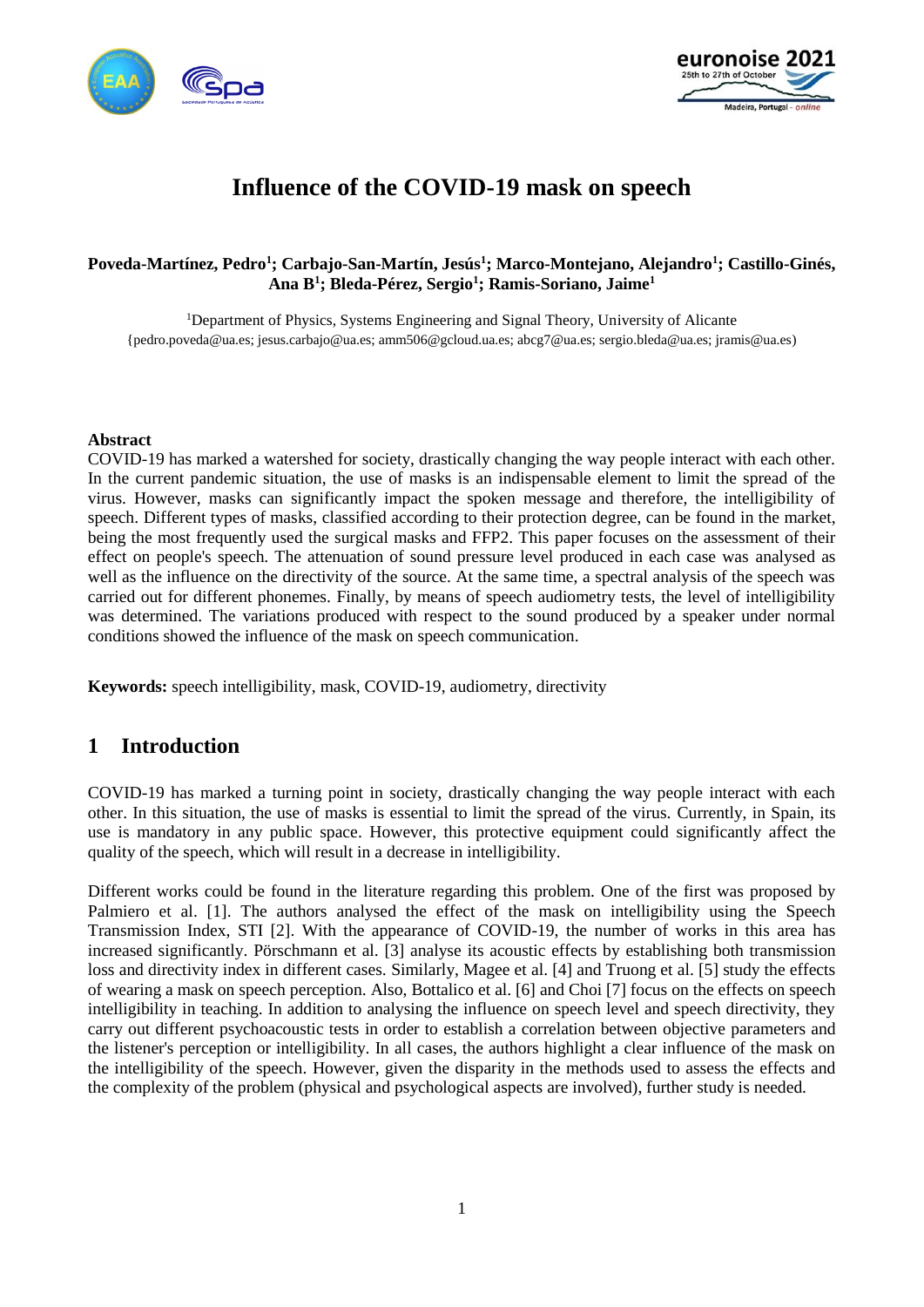



# **Influence of the COVID-19 mask on speech**

#### **Poveda-Martínez, Pedro<sup>1</sup> ; Carbajo-San-Martín, Jesús<sup>1</sup> ; Marco-Montejano, Alejandro<sup>1</sup> ; Castillo-Ginés, Ana B<sup>1</sup> ; Bleda-Pérez, Sergio<sup>1</sup> ; Ramis-Soriano, Jaime<sup>1</sup>**

<sup>1</sup>Department of Physics, Systems Engineering and Signal Theory, University of Alicante {pedro.poveda@ua.es; jesus.carbajo@ua.es; amm506@gcloud.ua.es; abcg7@ua.es; sergio.bleda@ua.es; jramis@ua.es)

#### **Abstract**

COVID-19 has marked a watershed for society, drastically changing the way people interact with each other. In the current pandemic situation, the use of masks is an indispensable element to limit the spread of the virus. However, masks can significantly impact the spoken message and therefore, the intelligibility of speech. Different types of masks, classified according to their protection degree, can be found in the market, being the most frequently used the surgical masks and FFP2. This paper focuses on the assessment of their effect on people's speech. The attenuation of sound pressure level produced in each case was analysed as well as the influence on the directivity of the source. At the same time, a spectral analysis of the speech was carried out for different phonemes. Finally, by means of speech audiometry tests, the level of intelligibility was determined. The variations produced with respect to the sound produced by a speaker under normal conditions showed the influence of the mask on speech communication.

**Keywords:** speech intelligibility, mask, COVID-19, audiometry, directivity

### **1 Introduction**

COVID-19 has marked a turning point in society, drastically changing the way people interact with each other. In this situation, the use of masks is essential to limit the spread of the virus. Currently, in Spain, its use is mandatory in any public space. However, this protective equipment could significantly affect the quality of the speech, which will result in a decrease in intelligibility.

Different works could be found in the literature regarding this problem. One of the first was proposed by Palmiero et al. [1]. The authors analysed the effect of the mask on intelligibility using the Speech Transmission Index, STI [2]. With the appearance of COVID-19, the number of works in this area has increased significantly. Pörschmann et al. [3] analyse its acoustic effects by establishing both transmission loss and directivity index in different cases. Similarly, Magee et al. [4] and Truong et al. [5] study the effects of wearing a mask on speech perception. Also, Bottalico et al. [6] and Choi [7] focus on the effects on speech intelligibility in teaching. In addition to analysing the influence on speech level and speech directivity, they carry out different psychoacoustic tests in order to establish a correlation between objective parameters and the listener's perception or intelligibility. In all cases, the authors highlight a clear influence of the mask on the intelligibility of the speech. However, given the disparity in the methods used to assess the effects and the complexity of the problem (physical and psychological aspects are involved), further study is needed.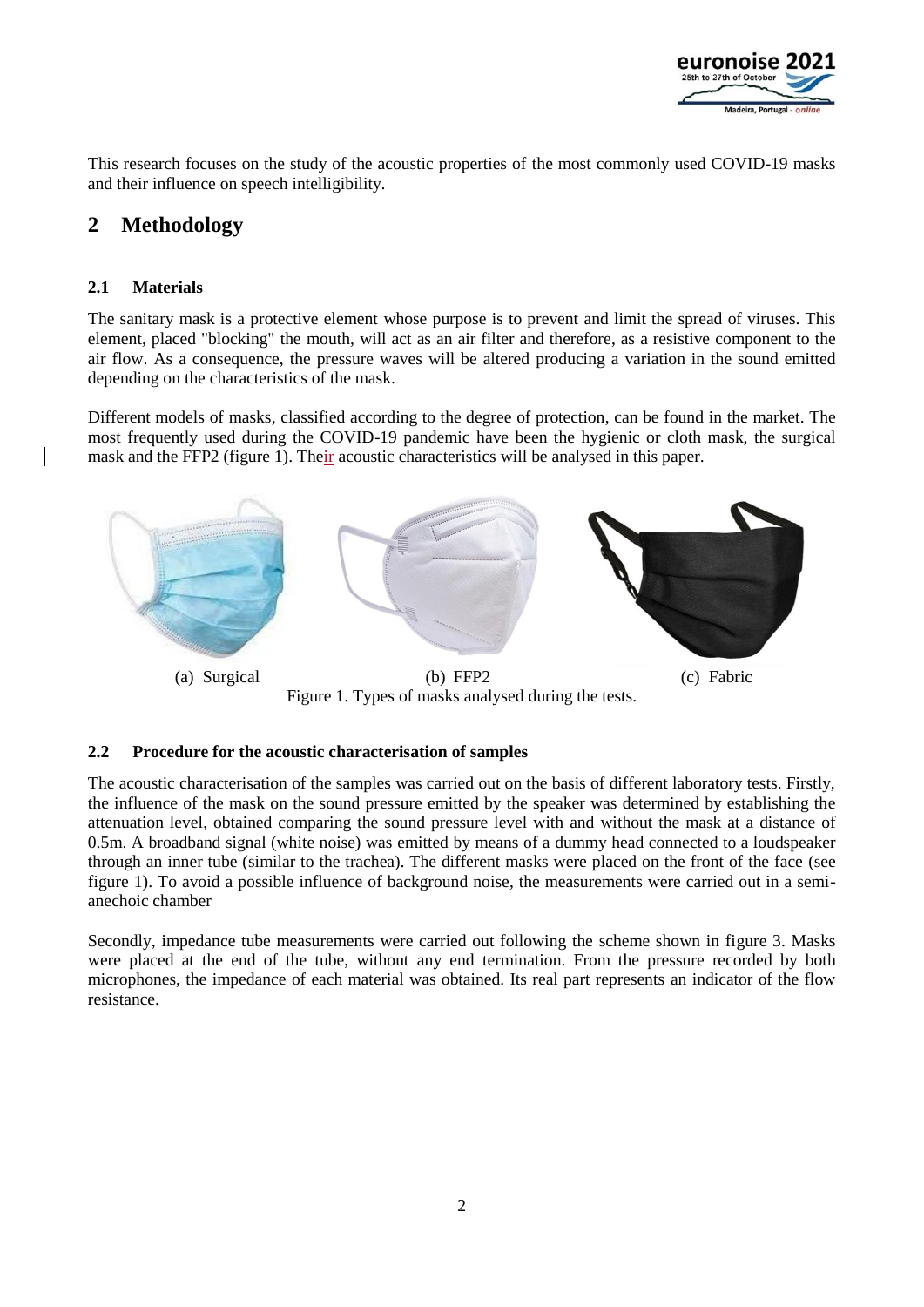

This research focuses on the study of the acoustic properties of the most commonly used COVID-19 masks and their influence on speech intelligibility.

# **2 Methodology**

#### **2.1 Materials**

The sanitary mask is a protective element whose purpose is to prevent and limit the spread of viruses. This element, placed "blocking" the mouth, will act as an air filter and therefore, as a resistive component to the air flow. As a consequence, the pressure waves will be altered producing a variation in the sound emitted depending on the characteristics of the mask.

Different models of masks, classified according to the degree of protection, can be found in the market. The most frequently used during the COVID-19 pandemic have been the hygienic or cloth mask, the surgical mask and the FFP2 (figure 1). Their acoustic characteristics will be analysed in this paper.



Figure 1. Types of masks analysed during the tests.

#### **2.2 Procedure for the acoustic characterisation of samples**

The acoustic characterisation of the samples was carried out on the basis of different laboratory tests. Firstly, the influence of the mask on the sound pressure emitted by the speaker was determined by establishing the attenuation level, obtained comparing the sound pressure level with and without the mask at a distance of 0.5m. A broadband signal (white noise) was emitted by means of a dummy head connected to a loudspeaker through an inner tube (similar to the trachea). The different masks were placed on the front of the face (see figure 1). To avoid a possible influence of background noise, the measurements were carried out in a semianechoic chamber

Secondly, impedance tube measurements were carried out following the scheme shown in figure 3. Masks were placed at the end of the tube, without any end termination. From the pressure recorded by both microphones, the impedance of each material was obtained. Its real part represents an indicator of the flow resistance.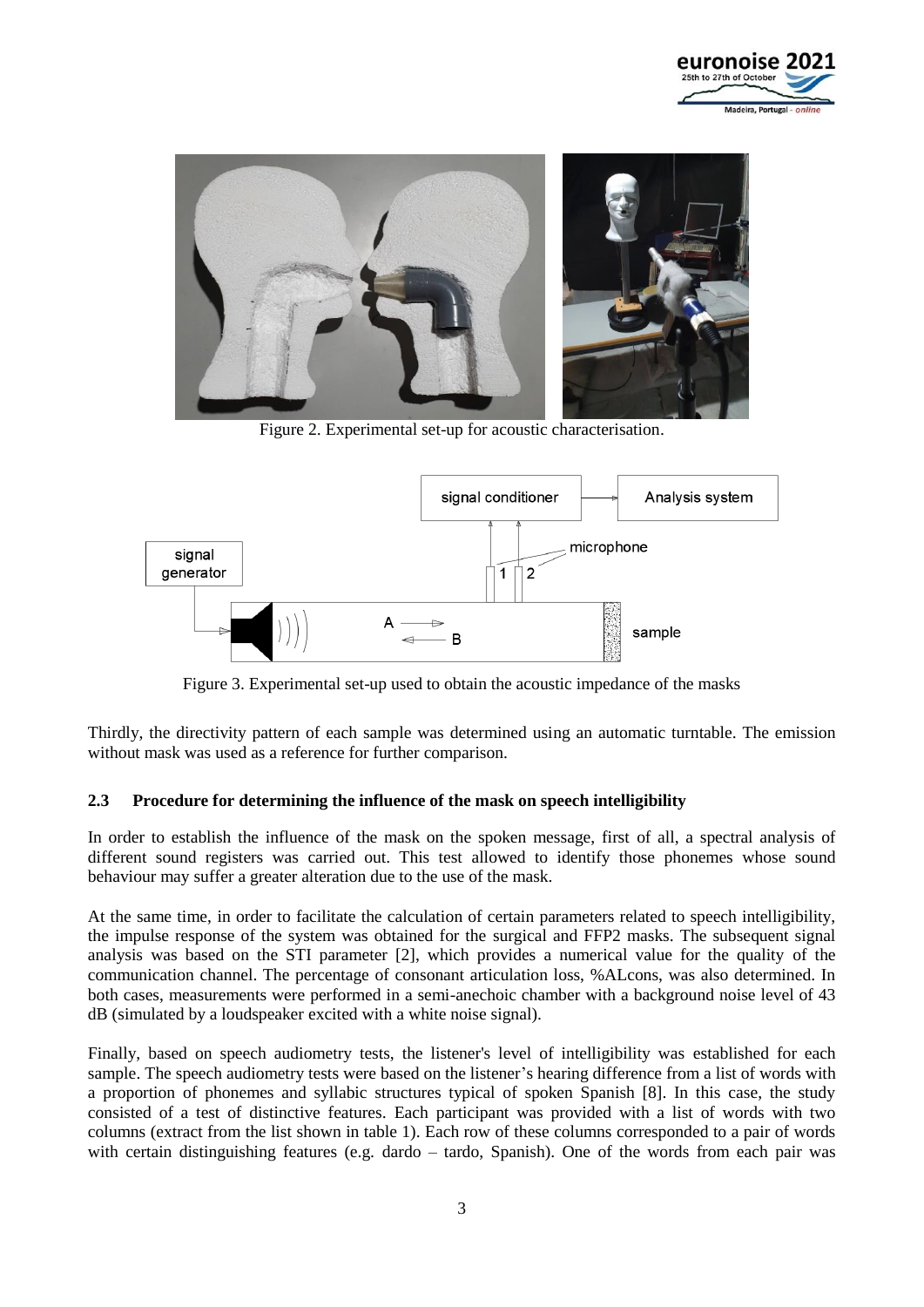



Figure 2. Experimental set-up for acoustic characterisation.



Figure 3. Experimental set-up used to obtain the acoustic impedance of the masks

Thirdly, the directivity pattern of each sample was determined using an automatic turntable. The emission without mask was used as a reference for further comparison.

#### **2.3 Procedure for determining the influence of the mask on speech intelligibility**

In order to establish the influence of the mask on the spoken message, first of all, a spectral analysis of different sound registers was carried out. This test allowed to identify those phonemes whose sound behaviour may suffer a greater alteration due to the use of the mask.

At the same time, in order to facilitate the calculation of certain parameters related to speech intelligibility, the impulse response of the system was obtained for the surgical and FFP2 masks. The subsequent signal analysis was based on the STI parameter [2], which provides a numerical value for the quality of the communication channel. The percentage of consonant articulation loss, %ALcons, was also determined. In both cases, measurements were performed in a semi-anechoic chamber with a background noise level of 43 dB (simulated by a loudspeaker excited with a white noise signal).

Finally, based on speech audiometry tests, the listener's level of intelligibility was established for each sample. The speech audiometry tests were based on the listener's hearing difference from a list of words with a proportion of phonemes and syllabic structures typical of spoken Spanish [8]. In this case, the study consisted of a test of distinctive features. Each participant was provided with a list of words with two columns (extract from the list shown in table 1). Each row of these columns corresponded to a pair of words with certain distinguishing features (e.g. dardo – tardo, Spanish). One of the words from each pair was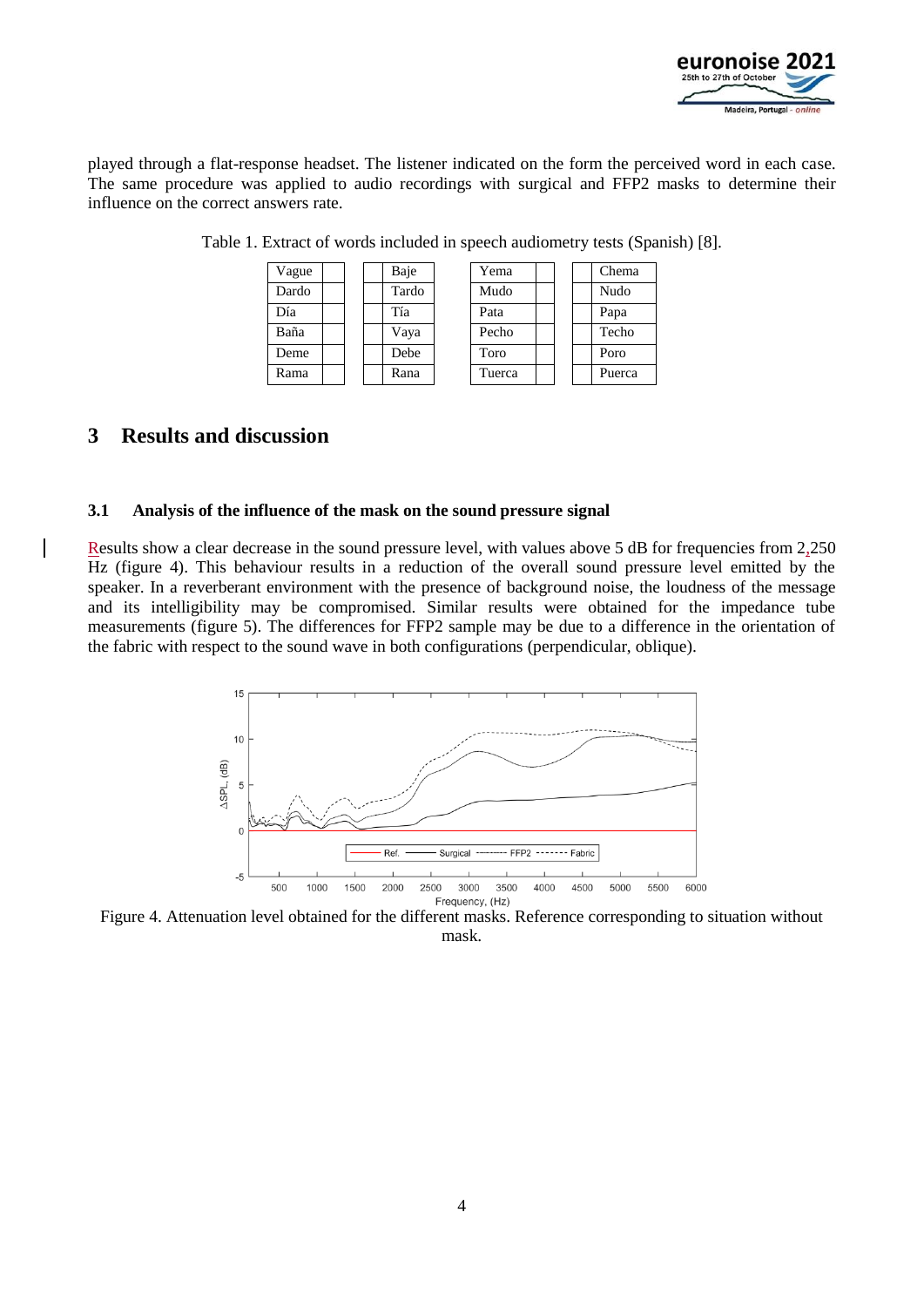

played through a flat-response headset. The listener indicated on the form the perceived word in each case. The same procedure was applied to audio recordings with surgical and FFP2 masks to determine their influence on the correct answers rate.

| Vague |  | Baje  | Yema   |  | Chema  |
|-------|--|-------|--------|--|--------|
| Dardo |  | Tardo | Mudo   |  | Nudo   |
| Día   |  | Tía   | Pata   |  | Papa   |
| Baña  |  | Vaya  | Pecho  |  | Techo  |
| Deme  |  | Debe  | Toro   |  | Poro   |
| Rama  |  | Rana  | Tuerca |  | Puerca |

Table 1. Extract of words included in speech audiometry tests (Spanish) [8].

# **3 Results and discussion**

#### **3.1 Analysis of the influence of the mask on the sound pressure signal**

Results show a clear decrease in the sound pressure level, with values above 5 dB for frequencies from 2,250 Hz (figure 4). This behaviour results in a reduction of the overall sound pressure level emitted by the speaker. In a reverberant environment with the presence of background noise, the loudness of the message and its intelligibility may be compromised. Similar results were obtained for the impedance tube measurements (figure 5). The differences for FFP2 sample may be due to a difference in the orientation of the fabric with respect to the sound wave in both configurations (perpendicular, oblique).



Figure 4. Attenuation level obtained for the different masks. Reference corresponding to situation without mask.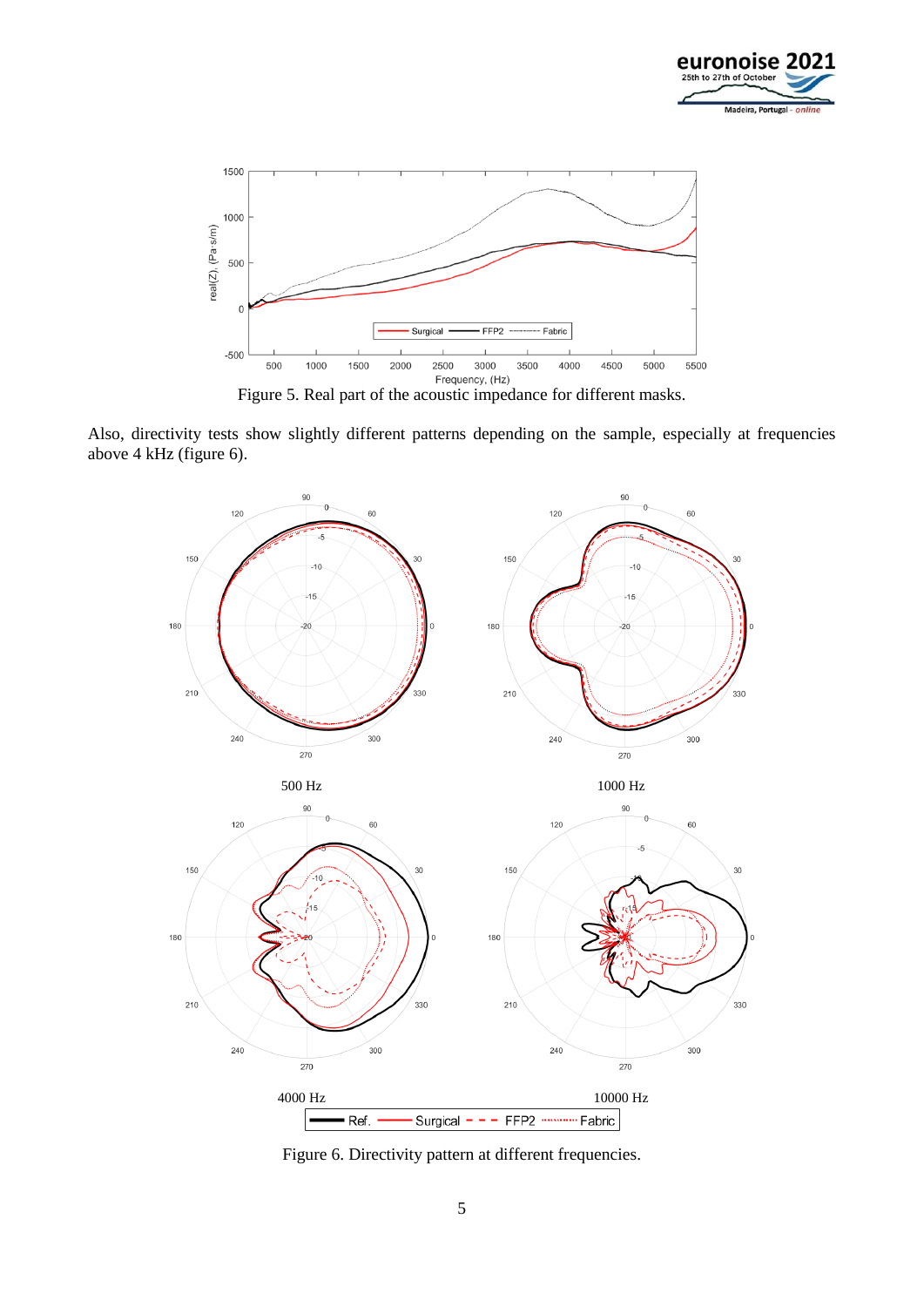



Also, directivity tests show slightly different patterns depending on the sample, especially at frequencies above 4 kHz (figure 6).



Figure 6. Directivity pattern at different frequencies.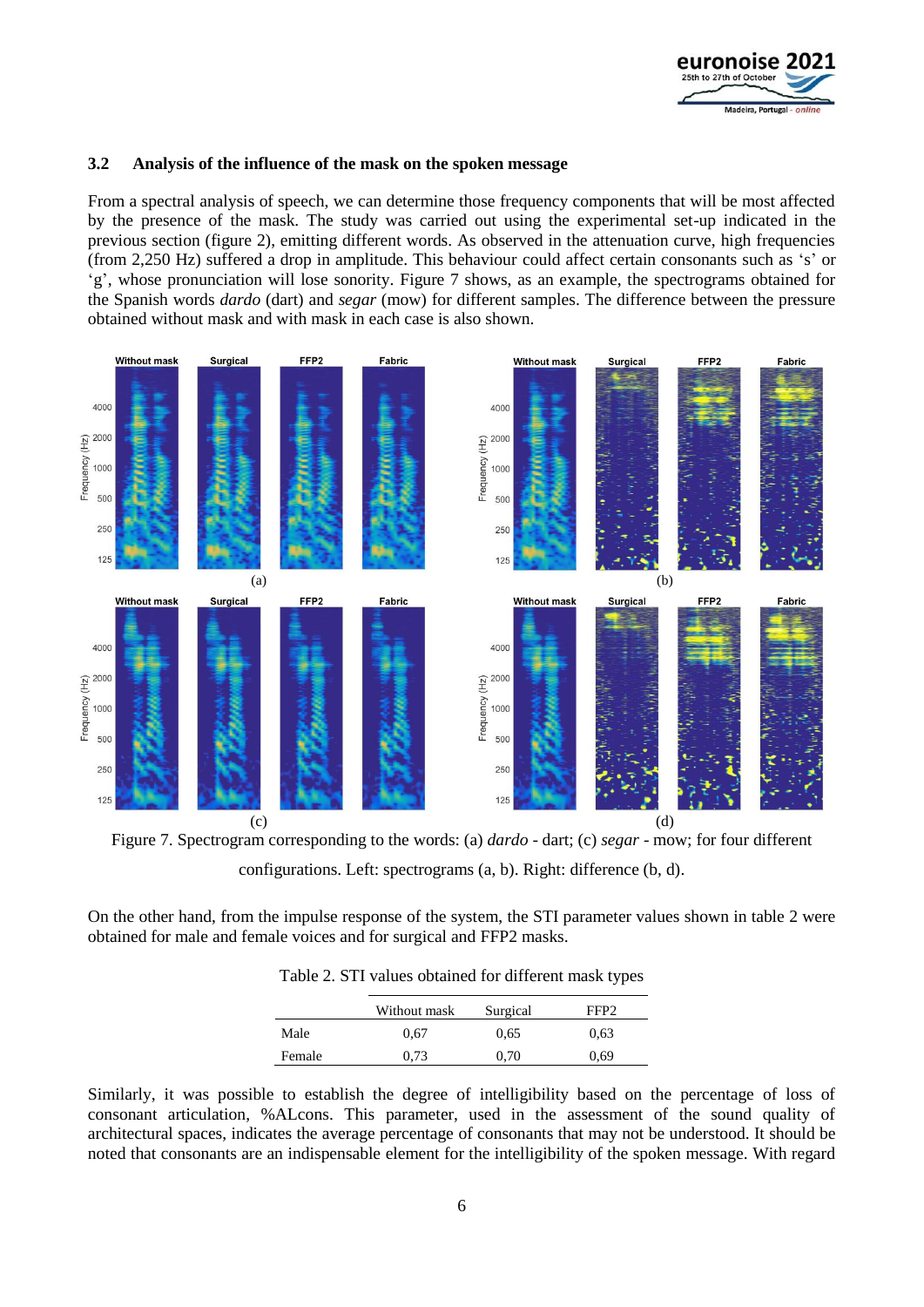

#### **3.2 Analysis of the influence of the mask on the spoken message**

From a spectral analysis of speech, we can determine those frequency components that will be most affected by the presence of the mask. The study was carried out using the experimental set-up indicated in the previous section (figure 2), emitting different words. As observed in the attenuation curve, high frequencies (from 2,250 Hz) suffered a drop in amplitude. This behaviour could affect certain consonants such as 's' or 'g', whose pronunciation will lose sonority. Figure 7 shows, as an example, the spectrograms obtained for the Spanish words *dardo* (dart) and *segar* (mow) for different samples. The difference between the pressure obtained without mask and with mask in each case is also shown.



Figure 7. Spectrogram corresponding to the words: (a) *dardo* - dart; (c) *segar* - mow; for four different configurations. Left: spectrograms (a, b). Right: difference (b, d).

On the other hand, from the impulse response of the system, the STI parameter values shown in table 2 were obtained for male and female voices and for surgical and FFP2 masks.

Table 2. STI values obtained for different mask types

|        | Without mask | Surgical | FFP <sub>2</sub> |
|--------|--------------|----------|------------------|
| Male   | 0.67         | 0.65     | 0.63             |
| Female | 0.73         | 0.70     | 0.69             |
|        |              |          |                  |

Similarly, it was possible to establish the degree of intelligibility based on the percentage of loss of consonant articulation, %ALcons. This parameter, used in the assessment of the sound quality of architectural spaces, indicates the average percentage of consonants that may not be understood. It should be noted that consonants are an indispensable element for the intelligibility of the spoken message. With regard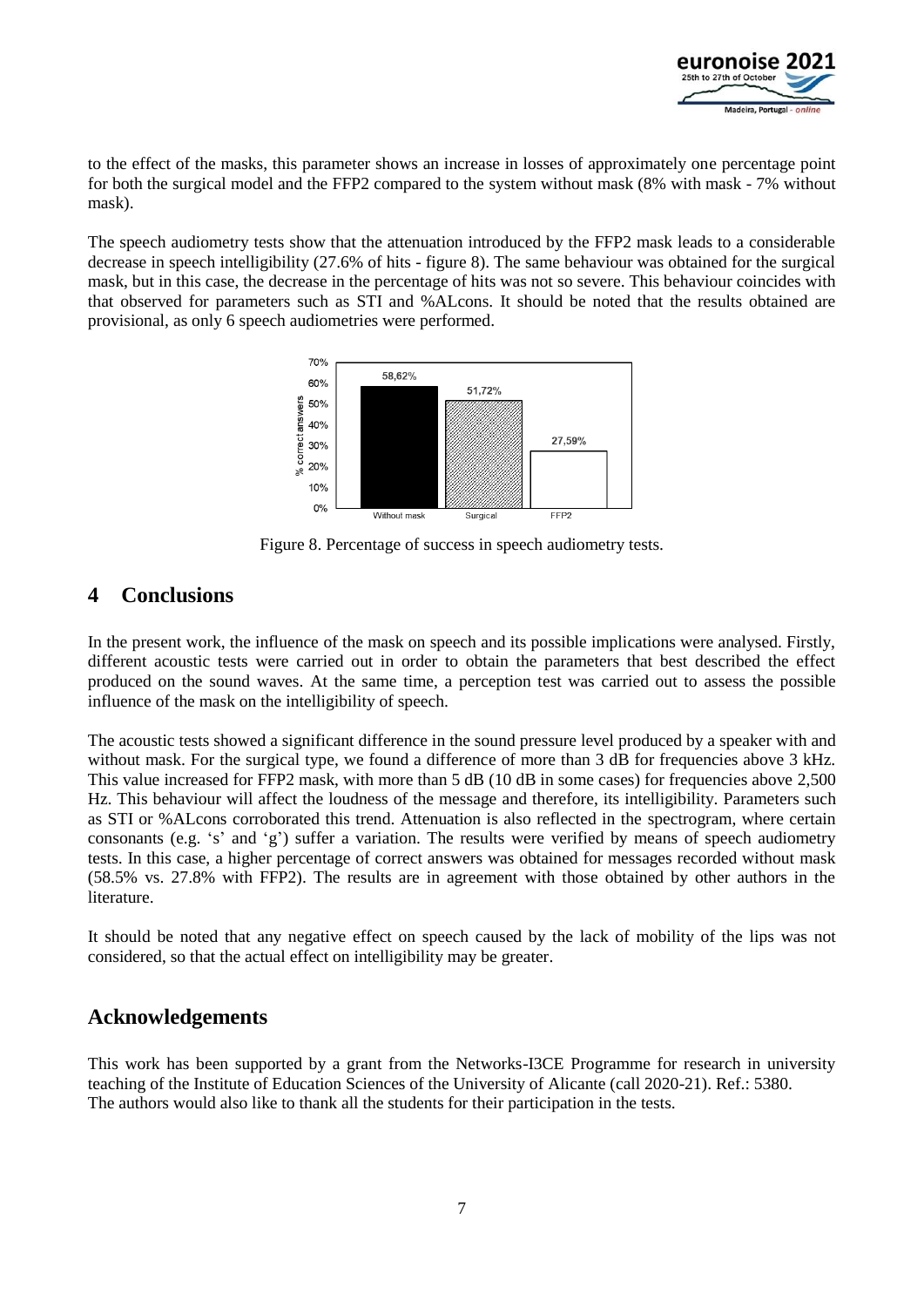

to the effect of the masks, this parameter shows an increase in losses of approximately one percentage point for both the surgical model and the FFP2 compared to the system without mask (8% with mask - 7% without mask).

The speech audiometry tests show that the attenuation introduced by the FFP2 mask leads to a considerable decrease in speech intelligibility (27.6% of hits - figure 8). The same behaviour was obtained for the surgical mask, but in this case, the decrease in the percentage of hits was not so severe. This behaviour coincides with that observed for parameters such as STI and %ALcons. It should be noted that the results obtained are provisional, as only 6 speech audiometries were performed.



Figure 8. Percentage of success in speech audiometry tests.

## **4 Conclusions**

In the present work, the influence of the mask on speech and its possible implications were analysed. Firstly, different acoustic tests were carried out in order to obtain the parameters that best described the effect produced on the sound waves. At the same time, a perception test was carried out to assess the possible influence of the mask on the intelligibility of speech.

The acoustic tests showed a significant difference in the sound pressure level produced by a speaker with and without mask. For the surgical type, we found a difference of more than 3 dB for frequencies above 3 kHz. This value increased for FFP2 mask, with more than 5 dB (10 dB in some cases) for frequencies above 2,500 Hz. This behaviour will affect the loudness of the message and therefore, its intelligibility. Parameters such as STI or %ALcons corroborated this trend. Attenuation is also reflected in the spectrogram, where certain consonants (e.g. 's' and 'g') suffer a variation. The results were verified by means of speech audiometry tests. In this case, a higher percentage of correct answers was obtained for messages recorded without mask (58.5% vs. 27.8% with FFP2). The results are in agreement with those obtained by other authors in the literature.

It should be noted that any negative effect on speech caused by the lack of mobility of the lips was not considered, so that the actual effect on intelligibility may be greater.

### **Acknowledgements**

This work has been supported by a grant from the Networks-I3CE Programme for research in university teaching of the Institute of Education Sciences of the University of Alicante (call 2020-21). Ref.: 5380. The authors would also like to thank all the students for their participation in the tests.